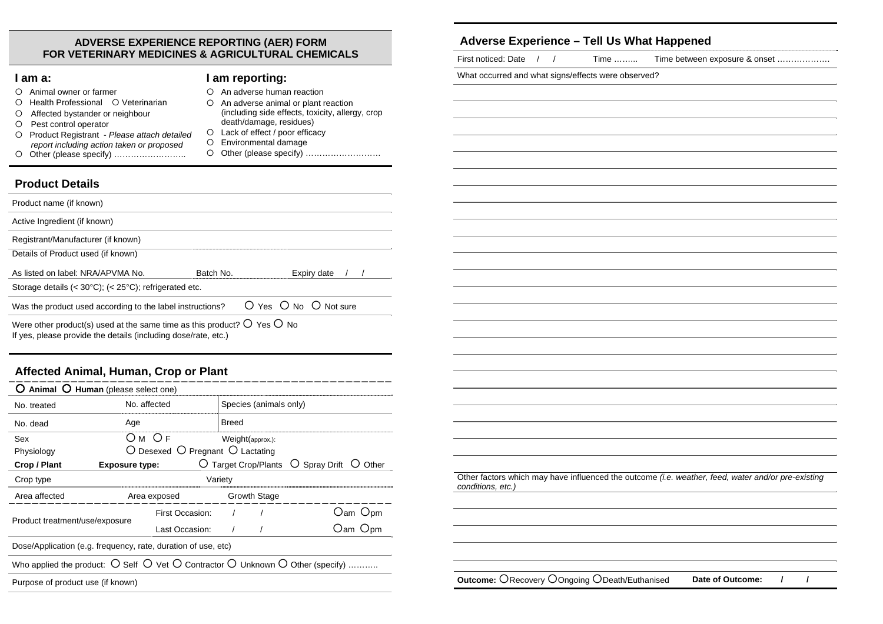### **ADVERSE EXPERIENCE REPORTING (AER) FORM FOR VETERINARY MEDICINES & AGRICULTURAL CHEMICALS**

#### **I am a:**

- c Animal owner or farmer
- O Health Professional O Veterinarian
- c Affected bystander or neighbour
- O Pest control operator
- c Product Registrant *Please attach detailed report including action taken or proposed*
- c Other (please specify) ……………………..

## **I am reporting:**

- c An adverse human reaction
	- c An adverse animal or plant reaction (including side effects, toxicity, allergy, crop death/damage, residues)
	- O Lack of effect / poor efficacy
	- c Environmental damage
	- c Other (please specify) ………………………

## **Product Details**

| Product name (if known)                                                   |           |                             |  |  |  |
|---------------------------------------------------------------------------|-----------|-----------------------------|--|--|--|
| Active Ingredient (if known)                                              |           |                             |  |  |  |
| Registrant/Manufacturer (if known)                                        |           |                             |  |  |  |
| Details of Product used (if known)                                        |           |                             |  |  |  |
| As listed on label: NRA/APVMA No.                                         | Batch No. | Expiry date                 |  |  |  |
| Storage details $(< 30^{\circ}$ C); $(< 25^{\circ}$ C); refrigerated etc. |           |                             |  |  |  |
| Was the product used according to the label instructions?                 |           | $O$ Yes $O$ No $O$ Not sure |  |  |  |
|                                                                           |           |                             |  |  |  |

Were other product(s) used at the same time as this product?  $O$  Yes  $O$  No If yes, please provide the details (including dose/rate, etc.)

# **Affected Animal, Human, Crop or Plant**

| O Animal O Human (please select one)                                                                                        |                                                             |  |              |                        |                                             |  |
|-----------------------------------------------------------------------------------------------------------------------------|-------------------------------------------------------------|--|--------------|------------------------|---------------------------------------------|--|
| No. treated                                                                                                                 | No. affected                                                |  |              | Species (animals only) |                                             |  |
| No. dead                                                                                                                    | Age                                                         |  | Breed        |                        |                                             |  |
| Sex                                                                                                                         | Ом Оғ                                                       |  |              | Weight(approx.):       |                                             |  |
| Physiology                                                                                                                  | $\bigcirc$ Desexed $\bigcirc$ Pregnant $\bigcirc$ Lactating |  |              |                        |                                             |  |
| Crop / Plant                                                                                                                | <b>Exposure type:</b>                                       |  |              |                        | Target Crop/Plants O Spray Drift O<br>Other |  |
| Variety<br>Crop type                                                                                                        |                                                             |  |              |                        |                                             |  |
| Area affected                                                                                                               | Area exposed                                                |  | Growth Stage |                        |                                             |  |
|                                                                                                                             | First Occasion:                                             |  |              |                        | Oam Opm                                     |  |
| Product treatment/use/exposure<br>Last Occasion:                                                                            |                                                             |  |              |                        | ∪am ∪pm                                     |  |
| Dose/Application (e.g. frequency, rate, duration of use, etc)                                                               |                                                             |  |              |                        |                                             |  |
| Who applied the product: $\bigcirc$ Self $\bigcirc$ Vet $\bigcirc$ Contractor $\bigcirc$ Unknown $\bigcirc$ Other (specify) |                                                             |  |              |                        |                                             |  |
| Purpose of product use (if known)                                                                                           |                                                             |  |              |                        |                                             |  |

## **Adverse Experience – Tell Us What Happened**

First noticed: Date / / Time ……... Time between exposure & onset …….............

What occurred and what signs/effects were observed?

Other factors which may have influenced the outcome *(i.e. weather, feed, water and/or pre-existing conditions, etc.)*

**Outcome:** ORecovery OOngoing ODeath/Euthanised **Date of Outcome:** / /